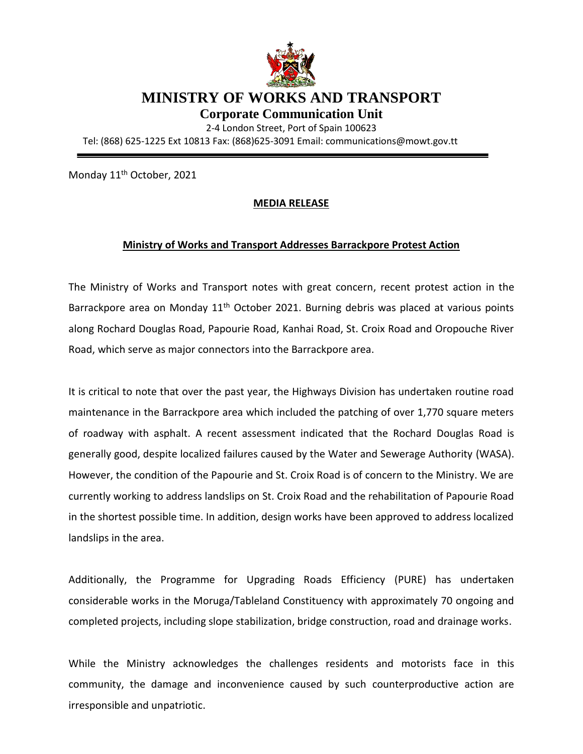

## **MINISTRY OF WORKS AND TRANSPORT**

**Corporate Communication Unit**

2-4 London Street, Port of Spain 100623 Tel: (868) 625-1225 Ext 10813 Fax: (868)625-3091 Email: communications@mowt.gov.tt

Monday 11<sup>th</sup> October, 2021

## **MEDIA RELEASE**

## **Ministry of Works and Transport Addresses Barrackpore Protest Action**

The Ministry of Works and Transport notes with great concern, recent protest action in the Barrackpore area on Monday 11<sup>th</sup> October 2021. Burning debris was placed at various points along Rochard Douglas Road, Papourie Road, Kanhai Road, St. Croix Road and Oropouche River Road, which serve as major connectors into the Barrackpore area.

It is critical to note that over the past year, the Highways Division has undertaken routine road maintenance in the Barrackpore area which included the patching of over 1,770 square meters of roadway with asphalt. A recent assessment indicated that the Rochard Douglas Road is generally good, despite localized failures caused by the Water and Sewerage Authority (WASA). However, the condition of the Papourie and St. Croix Road is of concern to the Ministry. We are currently working to address landslips on St. Croix Road and the rehabilitation of Papourie Road in the shortest possible time. In addition, design works have been approved to address localized landslips in the area.

Additionally, the Programme for Upgrading Roads Efficiency (PURE) has undertaken considerable works in the Moruga/Tableland Constituency with approximately 70 ongoing and completed projects, including slope stabilization, bridge construction, road and drainage works.

While the Ministry acknowledges the challenges residents and motorists face in this community, the damage and inconvenience caused by such counterproductive action are irresponsible and unpatriotic.